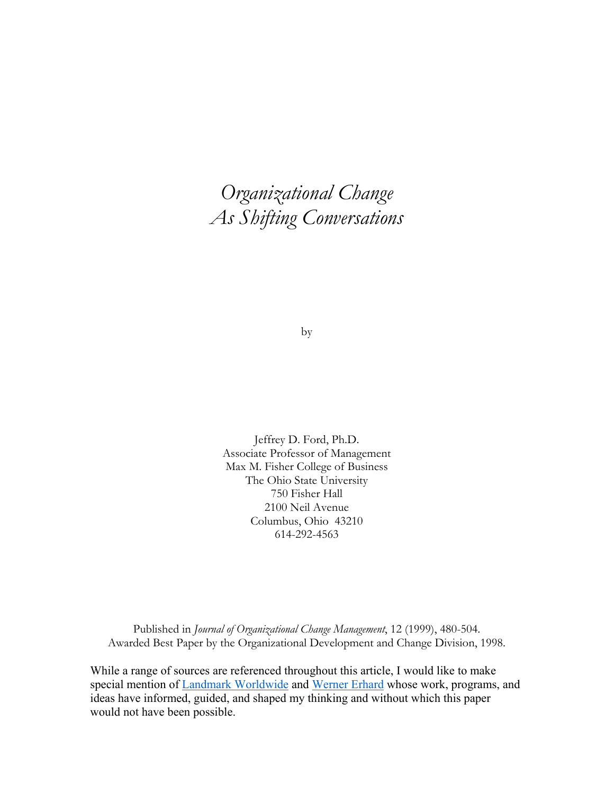# *Organizational Change As Shifting Conversations*

by

Jeffrey D. Ford, Ph.D. Associate Professor of Management Max M. Fisher College of Business The Ohio State University 750 Fisher Hall 2100 Neil Avenue Columbus, Ohio 43210 614-292-4563

Published in *Journal of Organizational Change Management*, 12 (1999), 480-504. Awarded Best Paper by the Organizational Development and Change Division, 1998.

While a range of sources are referenced throughout this article, I would like to make special mention of Landmark Worldwide and Werner Erhard whose work, programs, and ideas have informed, guided, and shaped my thinking and without which this paper would not have been possible.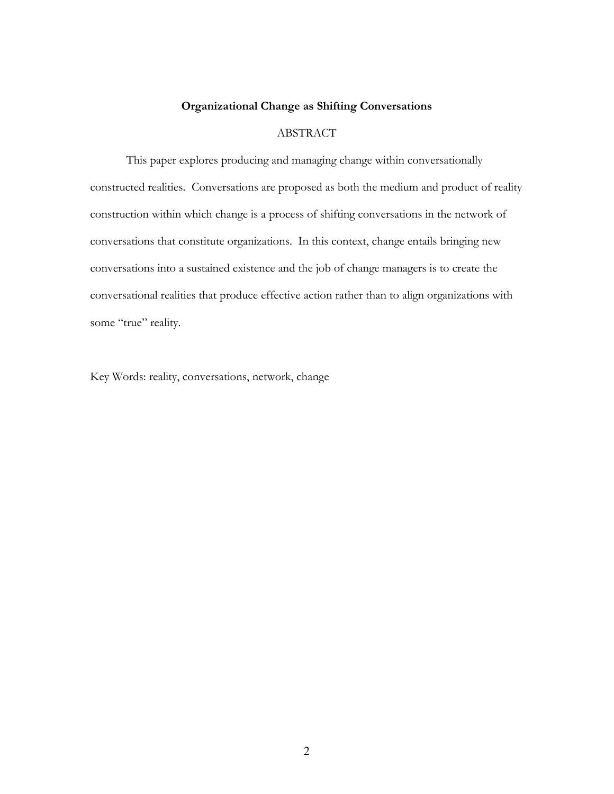## **Organizational Change as Shifting Conversations**

## ABSTRACT

 This paper explores producing and managing change within conversationally constructed realities. Conversations are proposed as both the medium and product of reality construction within which change is a process of shifting conversations in the network of conversations that constitute organizations. In this context, change entails bringing new conversations into a sustained existence and the job of change managers is to create the conversational realities that produce effective action rather than to align organizations with some "true" reality.

Key Words: reality, conversations, network, change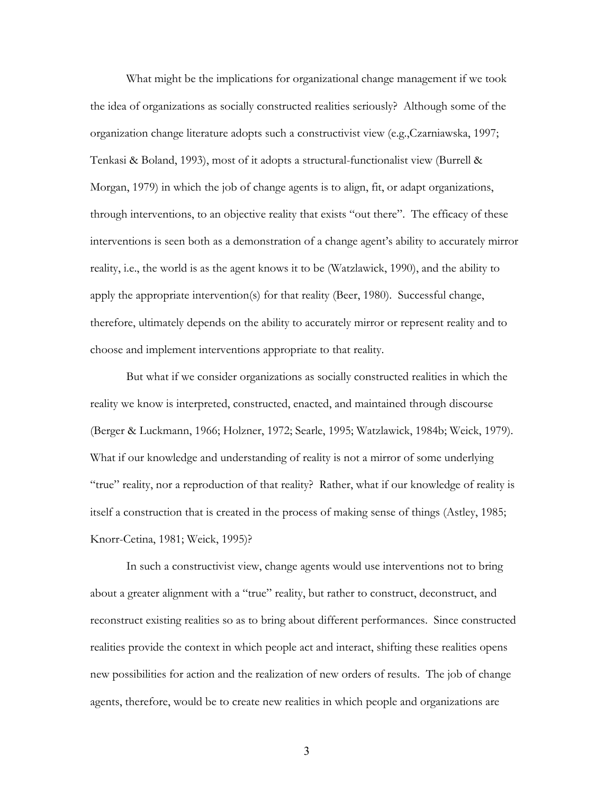What might be the implications for organizational change management if we took the idea of organizations as socially constructed realities seriously? Although some of the organization change literature adopts such a constructivist view (e.g.,Czarniawska, 1997; Tenkasi & Boland, 1993), most of it adopts a structural-functionalist view (Burrell & Morgan, 1979) in which the job of change agents is to align, fit, or adapt organizations, through interventions, to an objective reality that exists "out there". The efficacy of these interventions is seen both as a demonstration of a change agent's ability to accurately mirror reality, i.e., the world is as the agent knows it to be (Watzlawick, 1990), and the ability to apply the appropriate intervention(s) for that reality (Beer, 1980). Successful change, therefore, ultimately depends on the ability to accurately mirror or represent reality and to choose and implement interventions appropriate to that reality.

 But what if we consider organizations as socially constructed realities in which the reality we know is interpreted, constructed, enacted, and maintained through discourse (Berger & Luckmann, 1966; Holzner, 1972; Searle, 1995; Watzlawick, 1984b; Weick, 1979). What if our knowledge and understanding of reality is not a mirror of some underlying "true" reality, nor a reproduction of that reality? Rather, what if our knowledge of reality is itself a construction that is created in the process of making sense of things (Astley, 1985; Knorr-Cetina, 1981; Weick, 1995)?

 In such a constructivist view, change agents would use interventions not to bring about a greater alignment with a "true" reality, but rather to construct, deconstruct, and reconstruct existing realities so as to bring about different performances. Since constructed realities provide the context in which people act and interact, shifting these realities opens new possibilities for action and the realization of new orders of results. The job of change agents, therefore, would be to create new realities in which people and organizations are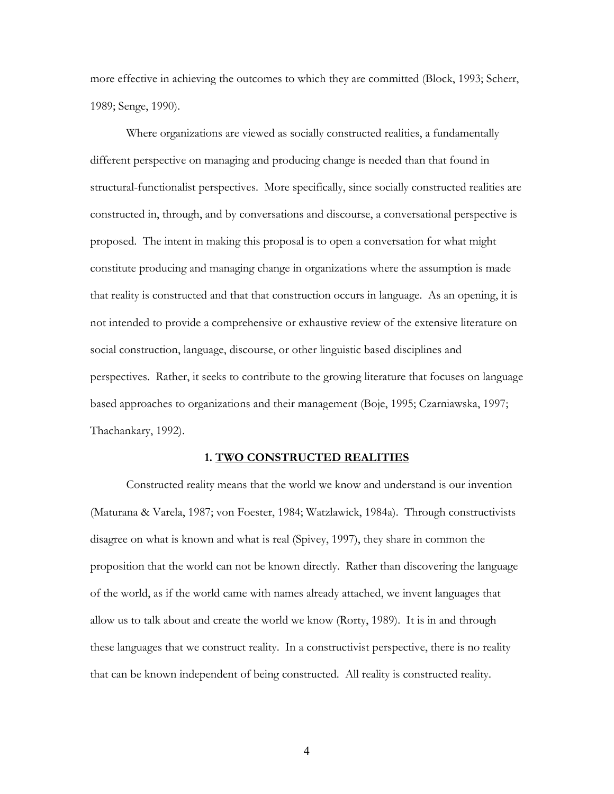more effective in achieving the outcomes to which they are committed (Block, 1993; Scherr, 1989; Senge, 1990).

 Where organizations are viewed as socially constructed realities, a fundamentally different perspective on managing and producing change is needed than that found in structural-functionalist perspectives. More specifically, since socially constructed realities are constructed in, through, and by conversations and discourse, a conversational perspective is proposed. The intent in making this proposal is to open a conversation for what might constitute producing and managing change in organizations where the assumption is made that reality is constructed and that that construction occurs in language. As an opening, it is not intended to provide a comprehensive or exhaustive review of the extensive literature on social construction, language, discourse, or other linguistic based disciplines and perspectives. Rather, it seeks to contribute to the growing literature that focuses on language based approaches to organizations and their management (Boje, 1995; Czarniawska, 1997; Thachankary, 1992).

#### **1. TWO CONSTRUCTED REALITIES**

Constructed reality means that the world we know and understand is our invention (Maturana & Varela, 1987; von Foester, 1984; Watzlawick, 1984a). Through constructivists disagree on what is known and what is real (Spivey, 1997), they share in common the proposition that the world can not be known directly. Rather than discovering the language of the world, as if the world came with names already attached, we invent languages that allow us to talk about and create the world we know (Rorty, 1989). It is in and through these languages that we construct reality. In a constructivist perspective, there is no reality that can be known independent of being constructed. All reality is constructed reality.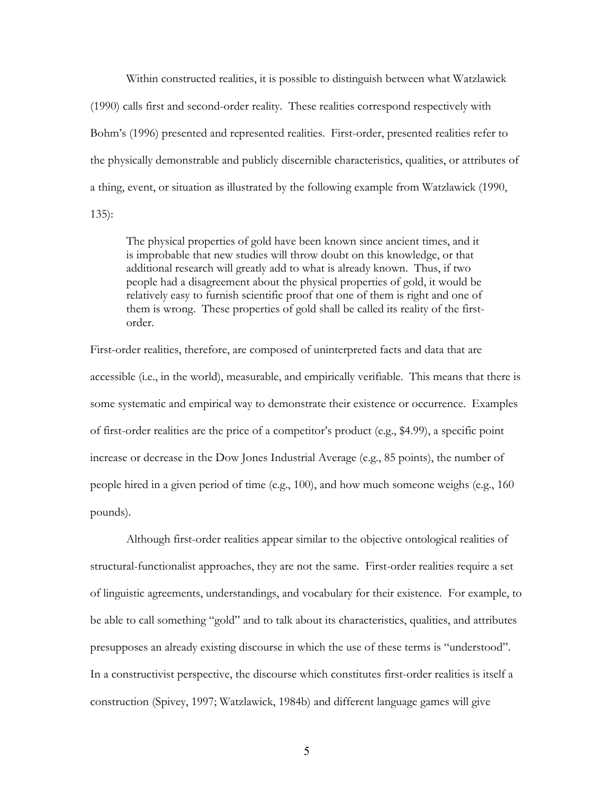Within constructed realities, it is possible to distinguish between what Watzlawick (1990) calls first and second-order reality. These realities correspond respectively with Bohm's (1996) presented and represented realities. First-order, presented realities refer to the physically demonstrable and publicly discernible characteristics, qualities, or attributes of a thing, event, or situation as illustrated by the following example from Watzlawick (1990, 135):

The physical properties of gold have been known since ancient times, and it is improbable that new studies will throw doubt on this knowledge, or that additional research will greatly add to what is already known. Thus, if two people had a disagreement about the physical properties of gold, it would be relatively easy to furnish scientific proof that one of them is right and one of them is wrong. These properties of gold shall be called its reality of the firstorder.

First-order realities, therefore, are composed of uninterpreted facts and data that are accessible (i.e., in the world), measurable, and empirically verifiable. This means that there is some systematic and empirical way to demonstrate their existence or occurrence. Examples of first-order realities are the price of a competitor's product (e.g., \$4.99), a specific point increase or decrease in the Dow Jones Industrial Average (e.g., 85 points), the number of people hired in a given period of time (e.g., 100), and how much someone weighs (e.g., 160 pounds).

 Although first-order realities appear similar to the objective ontological realities of structural-functionalist approaches, they are not the same. First-order realities require a set of linguistic agreements, understandings, and vocabulary for their existence. For example, to be able to call something "gold" and to talk about its characteristics, qualities, and attributes presupposes an already existing discourse in which the use of these terms is "understood". In a constructivist perspective, the discourse which constitutes first-order realities is itself a construction (Spivey, 1997; Watzlawick, 1984b) and different language games will give

 $\overline{5}$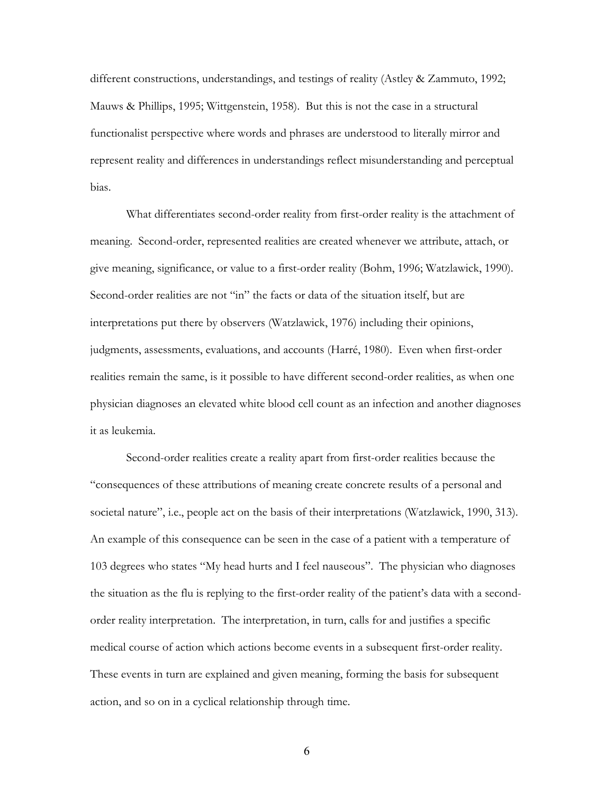different constructions, understandings, and testings of reality (Astley & Zammuto, 1992; Mauws & Phillips, 1995; Wittgenstein, 1958). But this is not the case in a structural functionalist perspective where words and phrases are understood to literally mirror and represent reality and differences in understandings reflect misunderstanding and perceptual bias.

What differentiates second-order reality from first-order reality is the attachment of meaning. Second-order, represented realities are created whenever we attribute, attach, or give meaning, significance, or value to a first-order reality (Bohm, 1996; Watzlawick, 1990). Second-order realities are not "in" the facts or data of the situation itself, but are interpretations put there by observers (Watzlawick, 1976) including their opinions, judgments, assessments, evaluations, and accounts (Harré, 1980). Even when first-order realities remain the same, is it possible to have different second-order realities, as when one physician diagnoses an elevated white blood cell count as an infection and another diagnoses it as leukemia.

Second-order realities create a reality apart from first-order realities because the "consequences of these attributions of meaning create concrete results of a personal and societal nature", i.e., people act on the basis of their interpretations (Watzlawick, 1990, 313). An example of this consequence can be seen in the case of a patient with a temperature of 103 degrees who states "My head hurts and I feel nauseous". The physician who diagnoses the situation as the flu is replying to the first-order reality of the patient's data with a secondorder reality interpretation. The interpretation, in turn, calls for and justifies a specific medical course of action which actions become events in a subsequent first-order reality. These events in turn are explained and given meaning, forming the basis for subsequent action, and so on in a cyclical relationship through time.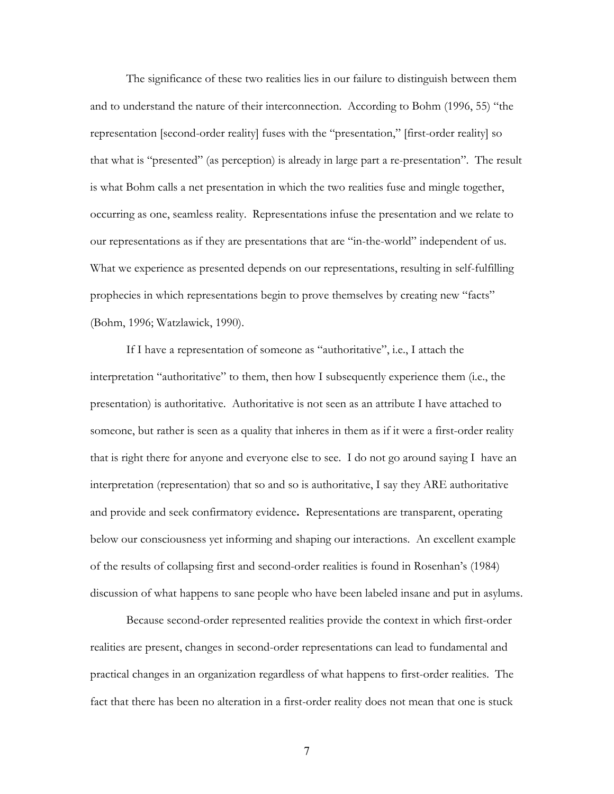The significance of these two realities lies in our failure to distinguish between them and to understand the nature of their interconnection. According to Bohm (1996, 55) "the representation [second-order reality] fuses with the "presentation," [first-order reality] so that what is "presented" (as perception) is already in large part a re-presentation". The result is what Bohm calls a net presentation in which the two realities fuse and mingle together, occurring as one, seamless reality. Representations infuse the presentation and we relate to our representations as if they are presentations that are "in-the-world" independent of us. What we experience as presented depends on our representations, resulting in self-fulfilling prophecies in which representations begin to prove themselves by creating new "facts" (Bohm, 1996; Watzlawick, 1990).

If I have a representation of someone as "authoritative", i.e., I attach the interpretation "authoritative" to them, then how I subsequently experience them (i.e., the presentation) is authoritative. Authoritative is not seen as an attribute I have attached to someone, but rather is seen as a quality that inheres in them as if it were a first-order reality that is right there for anyone and everyone else to see. I do not go around saying I have an interpretation (representation) that so and so is authoritative, I say they ARE authoritative and provide and seek confirmatory evidence**.** Representations are transparent, operating below our consciousness yet informing and shaping our interactions. An excellent example of the results of collapsing first and second-order realities is found in Rosenhan's (1984) discussion of what happens to sane people who have been labeled insane and put in asylums.

Because second-order represented realities provide the context in which first-order realities are present, changes in second-order representations can lead to fundamental and practical changes in an organization regardless of what happens to first-order realities. The fact that there has been no alteration in a first-order reality does not mean that one is stuck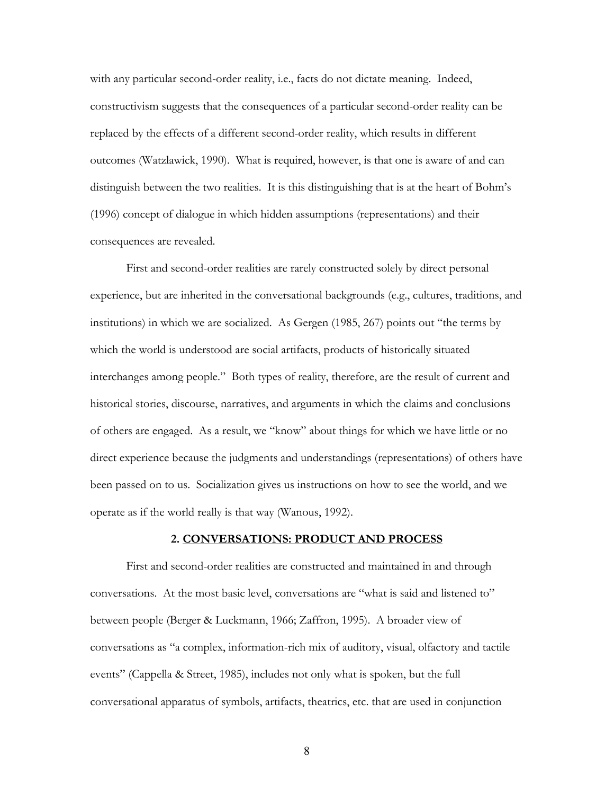with any particular second-order reality, i.e., facts do not dictate meaning. Indeed, constructivism suggests that the consequences of a particular second-order reality can be replaced by the effects of a different second-order reality, which results in different outcomes (Watzlawick, 1990). What is required, however, is that one is aware of and can distinguish between the two realities. It is this distinguishing that is at the heart of Bohm's (1996) concept of dialogue in which hidden assumptions (representations) and their consequences are revealed.

 First and second-order realities are rarely constructed solely by direct personal experience, but are inherited in the conversational backgrounds (e.g., cultures, traditions, and institutions) in which we are socialized. As Gergen (1985, 267) points out "the terms by which the world is understood are social artifacts, products of historically situated interchanges among people." Both types of reality, therefore, are the result of current and historical stories, discourse, narratives, and arguments in which the claims and conclusions of others are engaged. As a result, we "know" about things for which we have little or no direct experience because the judgments and understandings (representations) of others have been passed on to us. Socialization gives us instructions on how to see the world, and we operate as if the world really is that way (Wanous, 1992).

## **2. CONVERSATIONS: PRODUCT AND PROCESS**

 First and second-order realities are constructed and maintained in and through conversations. At the most basic level, conversations are "what is said and listened to" between people (Berger & Luckmann, 1966; Zaffron, 1995). A broader view of conversations as "a complex, information-rich mix of auditory, visual, olfactory and tactile events" (Cappella & Street, 1985), includes not only what is spoken, but the full conversational apparatus of symbols, artifacts, theatrics, etc. that are used in conjunction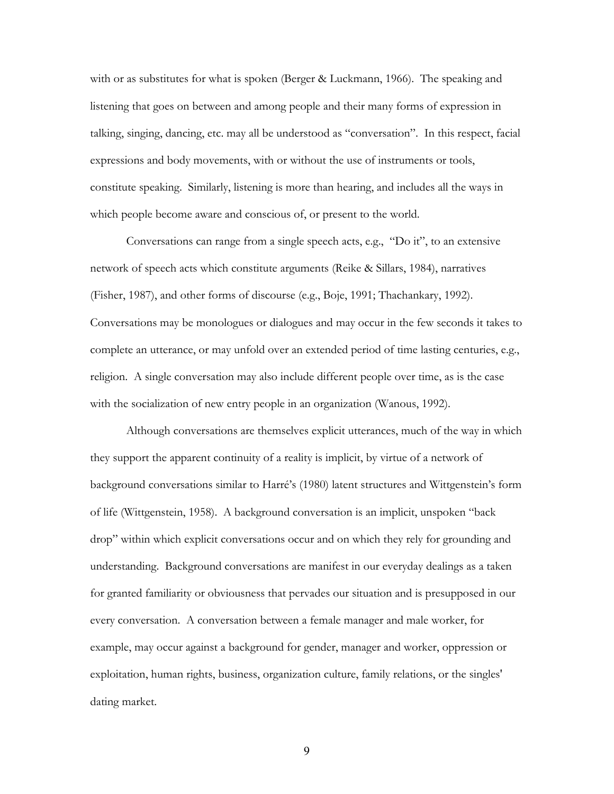with or as substitutes for what is spoken (Berger & Luckmann, 1966). The speaking and listening that goes on between and among people and their many forms of expression in talking, singing, dancing, etc. may all be understood as "conversation". In this respect, facial expressions and body movements, with or without the use of instruments or tools, constitute speaking. Similarly, listening is more than hearing, and includes all the ways in which people become aware and conscious of, or present to the world.

 Conversations can range from a single speech acts, e.g., "Do it", to an extensive network of speech acts which constitute arguments (Reike & Sillars, 1984), narratives (Fisher, 1987), and other forms of discourse (e.g., Boje, 1991; Thachankary, 1992). Conversations may be monologues or dialogues and may occur in the few seconds it takes to complete an utterance, or may unfold over an extended period of time lasting centuries, e.g., religion. A single conversation may also include different people over time, as is the case with the socialization of new entry people in an organization (Wanous, 1992).

 Although conversations are themselves explicit utterances, much of the way in which they support the apparent continuity of a reality is implicit, by virtue of a network of background conversations similar to Harré's (1980) latent structures and Wittgenstein's form of life (Wittgenstein, 1958). A background conversation is an implicit, unspoken "back drop" within which explicit conversations occur and on which they rely for grounding and understanding. Background conversations are manifest in our everyday dealings as a taken for granted familiarity or obviousness that pervades our situation and is presupposed in our every conversation. A conversation between a female manager and male worker, for example, may occur against a background for gender, manager and worker, oppression or exploitation, human rights, business, organization culture, family relations, or the singles' dating market.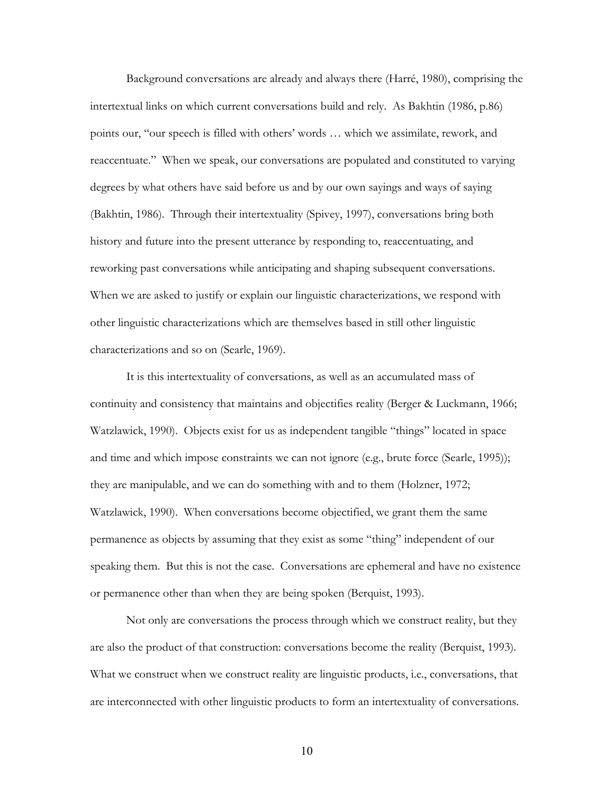Background conversations are already and always there (Harré, 1980), comprising the intertextual links on which current conversations build and rely. As Bakhtin (1986, p.86) points our, "our speech is filled with others' words … which we assimilate, rework, and reaccentuate." When we speak, our conversations are populated and constituted to varying degrees by what others have said before us and by our own sayings and ways of saying (Bakhtin, 1986). Through their intertextuality (Spivey, 1997), conversations bring both history and future into the present utterance by responding to, reaccentuating, and reworking past conversations while anticipating and shaping subsequent conversations. When we are asked to justify or explain our linguistic characterizations, we respond with other linguistic characterizations which are themselves based in still other linguistic characterizations and so on (Searle, 1969).

 It is this intertextuality of conversations, as well as an accumulated mass of continuity and consistency that maintains and objectifies reality (Berger & Luckmann, 1966; Watzlawick, 1990). Objects exist for us as independent tangible "things" located in space and time and which impose constraints we can not ignore (e.g., brute force (Searle, 1995)); they are manipulable, and we can do something with and to them (Holzner, 1972; Watzlawick, 1990). When conversations become objectified, we grant them the same permanence as objects by assuming that they exist as some "thing" independent of our speaking them. But this is not the case. Conversations are ephemeral and have no existence or permanence other than when they are being spoken (Berquist, 1993).

Not only are conversations the process through which we construct reality, but they are also the product of that construction: conversations become the reality (Berquist, 1993). What we construct when we construct reality are linguistic products, *i.e.*, conversations, that are interconnected with other linguistic products to form an intertextuality of conversations.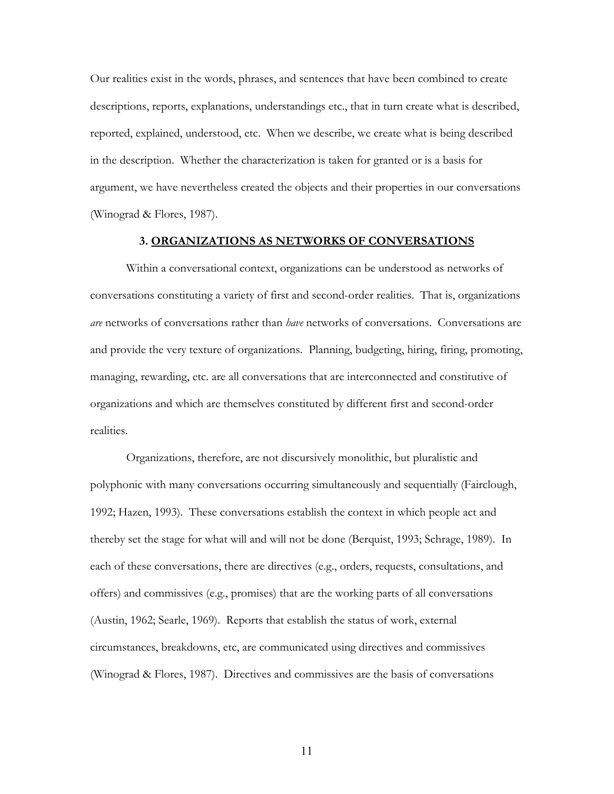Our realities exist in the words, phrases, and sentences that have been combined to create descriptions, reports, explanations, understandings etc., that in turn create what is described, reported, explained, understood, etc. When we describe, we create what is being described in the description. Whether the characterization is taken for granted or is a basis for argument, we have nevertheless created the objects and their properties in our conversations (Winograd & Flores, 1987).

#### **3. ORGANIZATIONS AS NETWORKS OF CONVERSATIONS**

 Within a conversational context, organizations can be understood as networks of conversations constituting a variety of first and second-order realities. That is, organizations *are* networks of conversations rather than *have* networks of conversations. Conversations are and provide the very texture of organizations. Planning, budgeting, hiring, firing, promoting, managing, rewarding, etc. are all conversations that are interconnected and constitutive of organizations and which are themselves constituted by different first and second-order realities.

Organizations, therefore, are not discursively monolithic, but pluralistic and polyphonic with many conversations occurring simultaneously and sequentially (Fairclough, 1992; Hazen, 1993). These conversations establish the context in which people act and thereby set the stage for what will and will not be done (Berquist, 1993; Schrage, 1989). In each of these conversations, there are directives (e.g., orders, requests, consultations, and offers) and commissives (e.g., promises) that are the working parts of all conversations (Austin, 1962; Searle, 1969). Reports that establish the status of work, external circumstances, breakdowns, etc, are communicated using directives and commissives (Winograd & Flores, 1987). Directives and commissives are the basis of conversations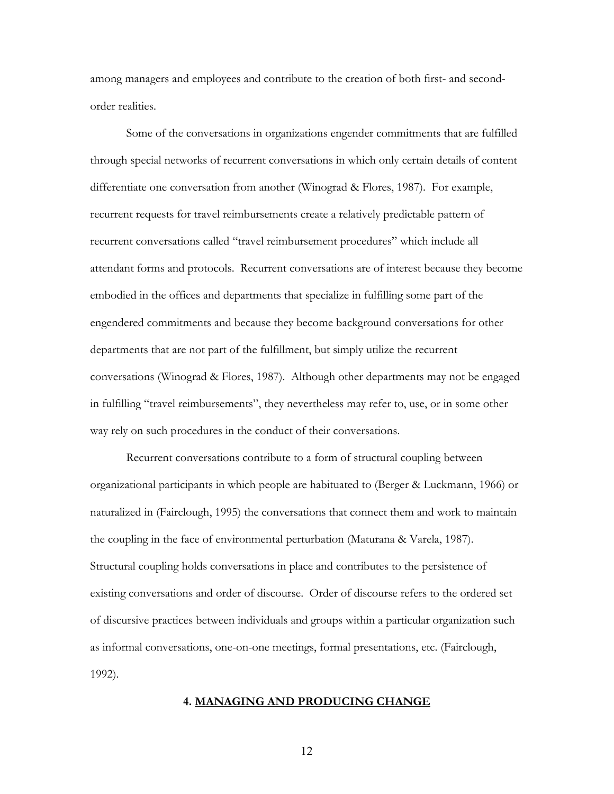among managers and employees and contribute to the creation of both first- and secondorder realities.

 Some of the conversations in organizations engender commitments that are fulfilled through special networks of recurrent conversations in which only certain details of content differentiate one conversation from another (Winograd & Flores, 1987). For example, recurrent requests for travel reimbursements create a relatively predictable pattern of recurrent conversations called "travel reimbursement procedures" which include all attendant forms and protocols. Recurrent conversations are of interest because they become embodied in the offices and departments that specialize in fulfilling some part of the engendered commitments and because they become background conversations for other departments that are not part of the fulfillment, but simply utilize the recurrent conversations (Winograd & Flores, 1987). Although other departments may not be engaged in fulfilling "travel reimbursements", they nevertheless may refer to, use, or in some other way rely on such procedures in the conduct of their conversations.

 Recurrent conversations contribute to a form of structural coupling between organizational participants in which people are habituated to (Berger & Luckmann, 1966) or naturalized in (Fairclough, 1995) the conversations that connect them and work to maintain the coupling in the face of environmental perturbation (Maturana & Varela, 1987). Structural coupling holds conversations in place and contributes to the persistence of existing conversations and order of discourse. Order of discourse refers to the ordered set of discursive practices between individuals and groups within a particular organization such as informal conversations, one-on-one meetings, formal presentations, etc. (Fairclough, 1992).

## **4. MANAGING AND PRODUCING CHANGE**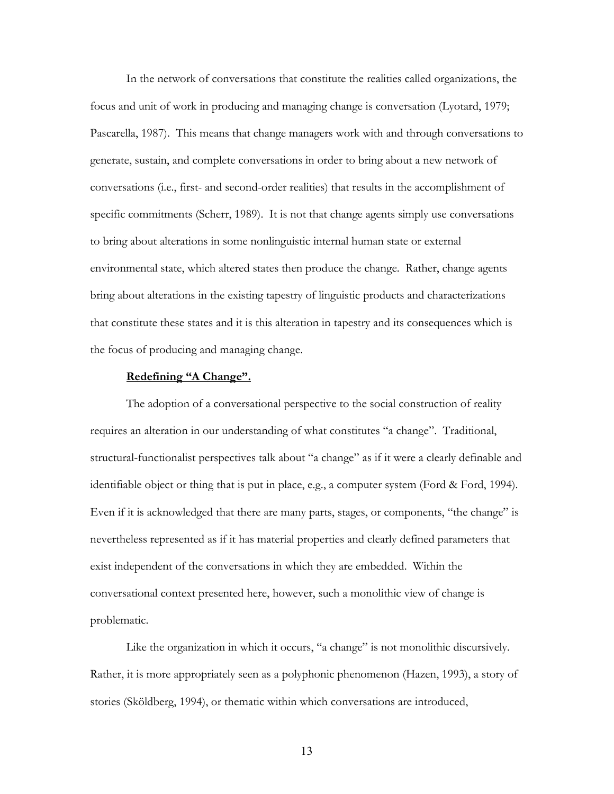In the network of conversations that constitute the realities called organizations, the focus and unit of work in producing and managing change is conversation (Lyotard, 1979; Pascarella, 1987). This means that change managers work with and through conversations to generate, sustain, and complete conversations in order to bring about a new network of conversations (i.e., first- and second-order realities) that results in the accomplishment of specific commitments (Scherr, 1989). It is not that change agents simply use conversations to bring about alterations in some nonlinguistic internal human state or external environmental state, which altered states then produce the change. Rather, change agents bring about alterations in the existing tapestry of linguistic products and characterizations that constitute these states and it is this alteration in tapestry and its consequences which is the focus of producing and managing change.

## **Redefining "A Change".**

The adoption of a conversational perspective to the social construction of reality requires an alteration in our understanding of what constitutes "a change". Traditional, structural-functionalist perspectives talk about "a change" as if it were a clearly definable and identifiable object or thing that is put in place, e.g., a computer system (Ford & Ford, 1994). Even if it is acknowledged that there are many parts, stages, or components, "the change" is nevertheless represented as if it has material properties and clearly defined parameters that exist independent of the conversations in which they are embedded. Within the conversational context presented here, however, such a monolithic view of change is problematic.

Like the organization in which it occurs, "a change" is not monolithic discursively. Rather, it is more appropriately seen as a polyphonic phenomenon (Hazen, 1993), a story of stories (Sköldberg, 1994), or thematic within which conversations are introduced,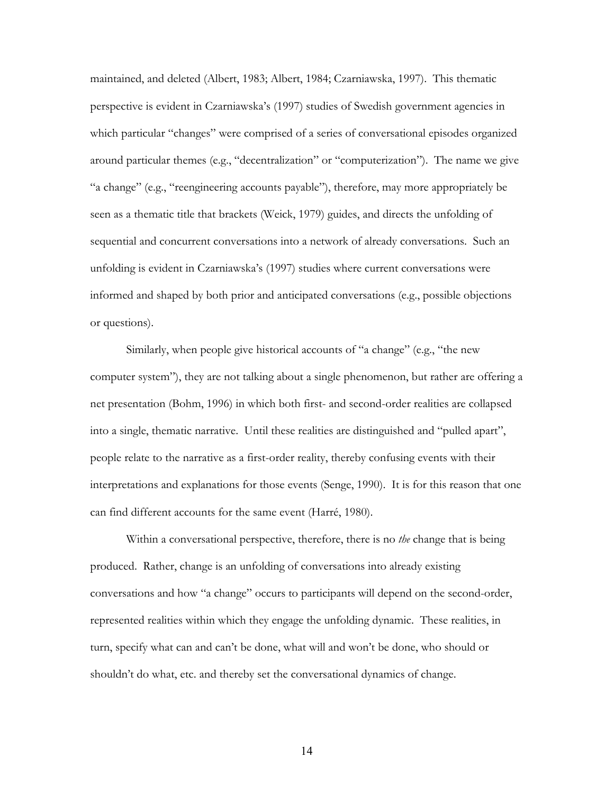maintained, and deleted (Albert, 1983; Albert, 1984; Czarniawska, 1997). This thematic perspective is evident in Czarniawska's (1997) studies of Swedish government agencies in which particular "changes" were comprised of a series of conversational episodes organized around particular themes (e.g., "decentralization" or "computerization"). The name we give "a change" (e.g., "reengineering accounts payable"), therefore, may more appropriately be seen as a thematic title that brackets (Weick, 1979) guides, and directs the unfolding of sequential and concurrent conversations into a network of already conversations. Such an unfolding is evident in Czarniawska's (1997) studies where current conversations were informed and shaped by both prior and anticipated conversations (e.g., possible objections or questions).

Similarly, when people give historical accounts of "a change" (e.g., "the new computer system"), they are not talking about a single phenomenon, but rather are offering a net presentation (Bohm, 1996) in which both first- and second-order realities are collapsed into a single, thematic narrative. Until these realities are distinguished and "pulled apart", people relate to the narrative as a first-order reality, thereby confusing events with their interpretations and explanations for those events (Senge, 1990). It is for this reason that one can find different accounts for the same event (Harré, 1980).

Within a conversational perspective, therefore, there is no *the* change that is being produced. Rather, change is an unfolding of conversations into already existing conversations and how "a change" occurs to participants will depend on the second-order, represented realities within which they engage the unfolding dynamic. These realities, in turn, specify what can and can't be done, what will and won't be done, who should or shouldn't do what, etc. and thereby set the conversational dynamics of change.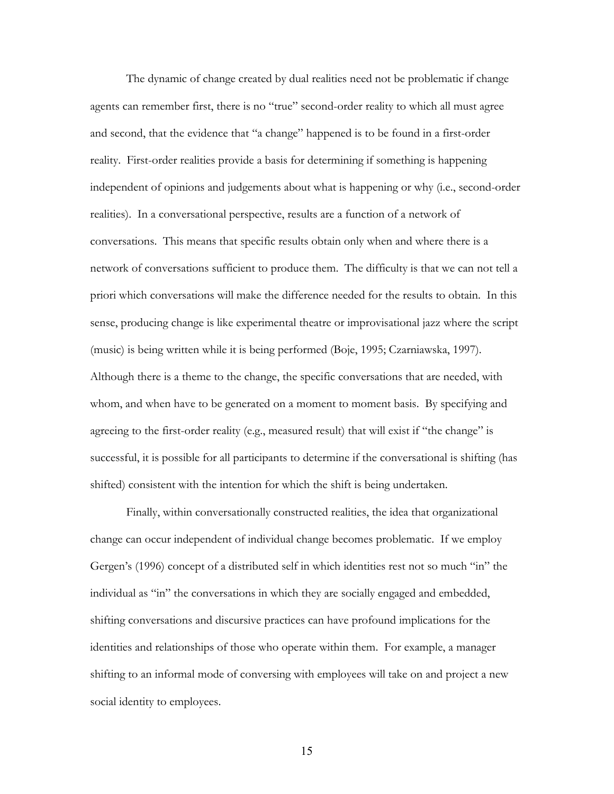The dynamic of change created by dual realities need not be problematic if change agents can remember first, there is no "true" second-order reality to which all must agree and second, that the evidence that "a change" happened is to be found in a first-order reality. First-order realities provide a basis for determining if something is happening independent of opinions and judgements about what is happening or why (i.e., second-order realities). In a conversational perspective, results are a function of a network of conversations. This means that specific results obtain only when and where there is a network of conversations sufficient to produce them. The difficulty is that we can not tell a priori which conversations will make the difference needed for the results to obtain. In this sense, producing change is like experimental theatre or improvisational jazz where the script (music) is being written while it is being performed (Boje, 1995; Czarniawska, 1997). Although there is a theme to the change, the specific conversations that are needed, with whom, and when have to be generated on a moment to moment basis. By specifying and agreeing to the first-order reality (e.g., measured result) that will exist if "the change" is successful, it is possible for all participants to determine if the conversational is shifting (has shifted) consistent with the intention for which the shift is being undertaken.

Finally, within conversationally constructed realities, the idea that organizational change can occur independent of individual change becomes problematic. If we employ Gergen's (1996) concept of a distributed self in which identities rest not so much "in" the individual as "in" the conversations in which they are socially engaged and embedded, shifting conversations and discursive practices can have profound implications for the identities and relationships of those who operate within them. For example, a manager shifting to an informal mode of conversing with employees will take on and project a new social identity to employees.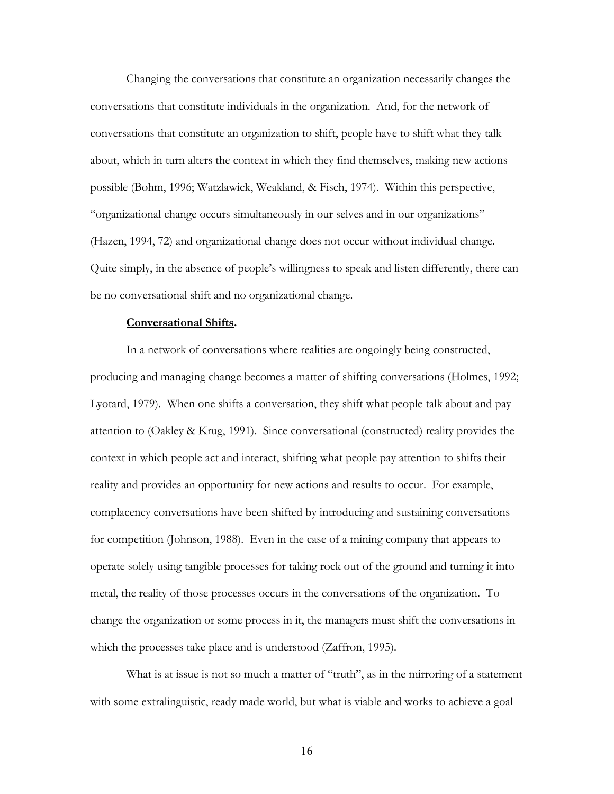Changing the conversations that constitute an organization necessarily changes the conversations that constitute individuals in the organization. And, for the network of conversations that constitute an organization to shift, people have to shift what they talk about, which in turn alters the context in which they find themselves, making new actions possible (Bohm, 1996; Watzlawick, Weakland, & Fisch, 1974). Within this perspective, "organizational change occurs simultaneously in our selves and in our organizations" (Hazen, 1994, 72) and organizational change does not occur without individual change. Quite simply, in the absence of people's willingness to speak and listen differently, there can be no conversational shift and no organizational change.

## **Conversational Shifts.**

In a network of conversations where realities are ongoingly being constructed, producing and managing change becomes a matter of shifting conversations (Holmes, 1992; Lyotard, 1979). When one shifts a conversation, they shift what people talk about and pay attention to (Oakley & Krug, 1991). Since conversational (constructed) reality provides the context in which people act and interact, shifting what people pay attention to shifts their reality and provides an opportunity for new actions and results to occur. For example, complacency conversations have been shifted by introducing and sustaining conversations for competition (Johnson, 1988). Even in the case of a mining company that appears to operate solely using tangible processes for taking rock out of the ground and turning it into metal, the reality of those processes occurs in the conversations of the organization. To change the organization or some process in it, the managers must shift the conversations in which the processes take place and is understood (Zaffron, 1995).

What is at issue is not so much a matter of "truth", as in the mirroring of a statement with some extralinguistic, ready made world, but what is viable and works to achieve a goal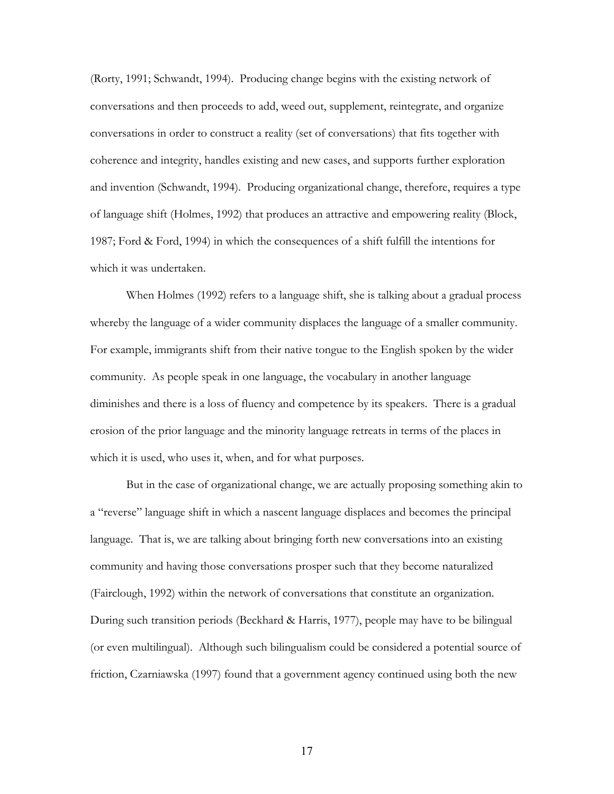(Rorty, 1991; Schwandt, 1994). Producing change begins with the existing network of conversations and then proceeds to add, weed out, supplement, reintegrate, and organize conversations in order to construct a reality (set of conversations) that fits together with coherence and integrity, handles existing and new cases, and supports further exploration and invention (Schwandt, 1994). Producing organizational change, therefore, requires a type of language shift (Holmes, 1992) that produces an attractive and empowering reality (Block, 1987; Ford & Ford, 1994) in which the consequences of a shift fulfill the intentions for which it was undertaken.

When Holmes (1992) refers to a language shift, she is talking about a gradual process whereby the language of a wider community displaces the language of a smaller community. For example, immigrants shift from their native tongue to the English spoken by the wider community. As people speak in one language, the vocabulary in another language diminishes and there is a loss of fluency and competence by its speakers. There is a gradual erosion of the prior language and the minority language retreats in terms of the places in which it is used, who uses it, when, and for what purposes.

 But in the case of organizational change, we are actually proposing something akin to a "reverse" language shift in which a nascent language displaces and becomes the principal language. That is, we are talking about bringing forth new conversations into an existing community and having those conversations prosper such that they become naturalized (Fairclough, 1992) within the network of conversations that constitute an organization. During such transition periods (Beckhard & Harris, 1977), people may have to be bilingual (or even multilingual). Although such bilingualism could be considered a potential source of friction, Czarniawska (1997) found that a government agency continued using both the new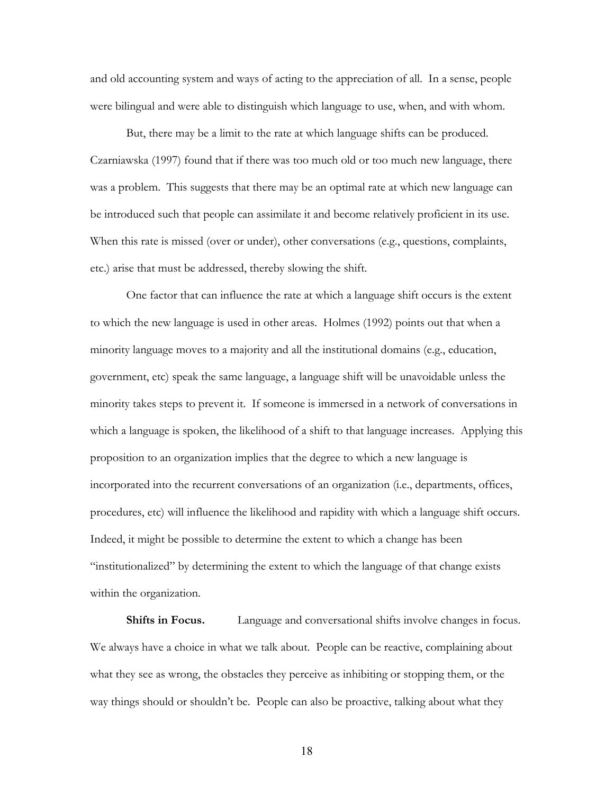and old accounting system and ways of acting to the appreciation of all. In a sense, people were bilingual and were able to distinguish which language to use, when, and with whom.

But, there may be a limit to the rate at which language shifts can be produced. Czarniawska (1997) found that if there was too much old or too much new language, there was a problem. This suggests that there may be an optimal rate at which new language can be introduced such that people can assimilate it and become relatively proficient in its use. When this rate is missed (over or under), other conversations (e.g., questions, complaints, etc.) arise that must be addressed, thereby slowing the shift.

One factor that can influence the rate at which a language shift occurs is the extent to which the new language is used in other areas. Holmes (1992) points out that when a minority language moves to a majority and all the institutional domains (e.g., education, government, etc) speak the same language, a language shift will be unavoidable unless the minority takes steps to prevent it. If someone is immersed in a network of conversations in which a language is spoken, the likelihood of a shift to that language increases. Applying this proposition to an organization implies that the degree to which a new language is incorporated into the recurrent conversations of an organization (i.e., departments, offices, procedures, etc) will influence the likelihood and rapidity with which a language shift occurs. Indeed, it might be possible to determine the extent to which a change has been "institutionalized" by determining the extent to which the language of that change exists within the organization.

**Shifts in Focus.** Language and conversational shifts involve changes in focus. We always have a choice in what we talk about. People can be reactive, complaining about what they see as wrong, the obstacles they perceive as inhibiting or stopping them, or the way things should or shouldn't be. People can also be proactive, talking about what they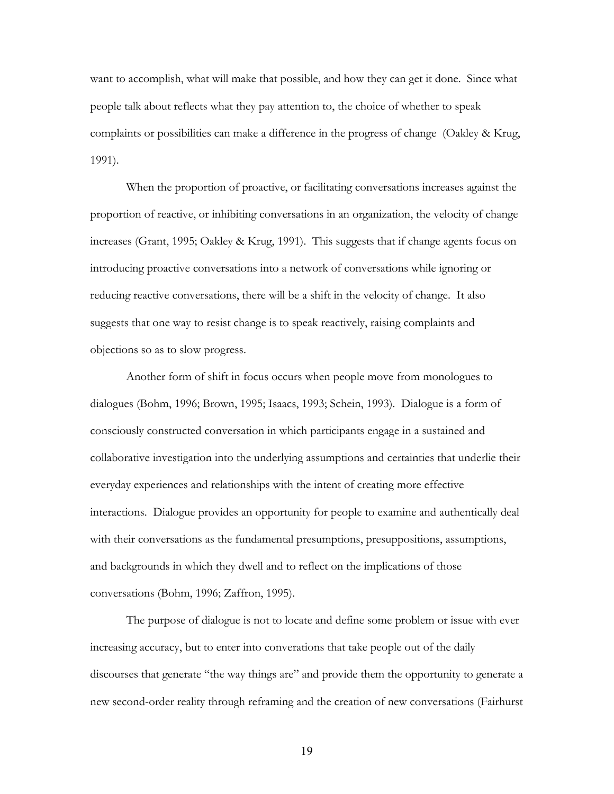want to accomplish, what will make that possible, and how they can get it done. Since what people talk about reflects what they pay attention to, the choice of whether to speak complaints or possibilities can make a difference in the progress of change (Oakley & Krug, 1991).

 When the proportion of proactive, or facilitating conversations increases against the proportion of reactive, or inhibiting conversations in an organization, the velocity of change increases (Grant, 1995; Oakley & Krug, 1991). This suggests that if change agents focus on introducing proactive conversations into a network of conversations while ignoring or reducing reactive conversations, there will be a shift in the velocity of change. It also suggests that one way to resist change is to speak reactively, raising complaints and objections so as to slow progress.

 Another form of shift in focus occurs when people move from monologues to dialogues (Bohm, 1996; Brown, 1995; Isaacs, 1993; Schein, 1993). Dialogue is a form of consciously constructed conversation in which participants engage in a sustained and collaborative investigation into the underlying assumptions and certainties that underlie their everyday experiences and relationships with the intent of creating more effective interactions. Dialogue provides an opportunity for people to examine and authentically deal with their conversations as the fundamental presumptions, presuppositions, assumptions, and backgrounds in which they dwell and to reflect on the implications of those conversations (Bohm, 1996; Zaffron, 1995).

The purpose of dialogue is not to locate and define some problem or issue with ever increasing accuracy, but to enter into converations that take people out of the daily discourses that generate "the way things are" and provide them the opportunity to generate a new second-order reality through reframing and the creation of new conversations (Fairhurst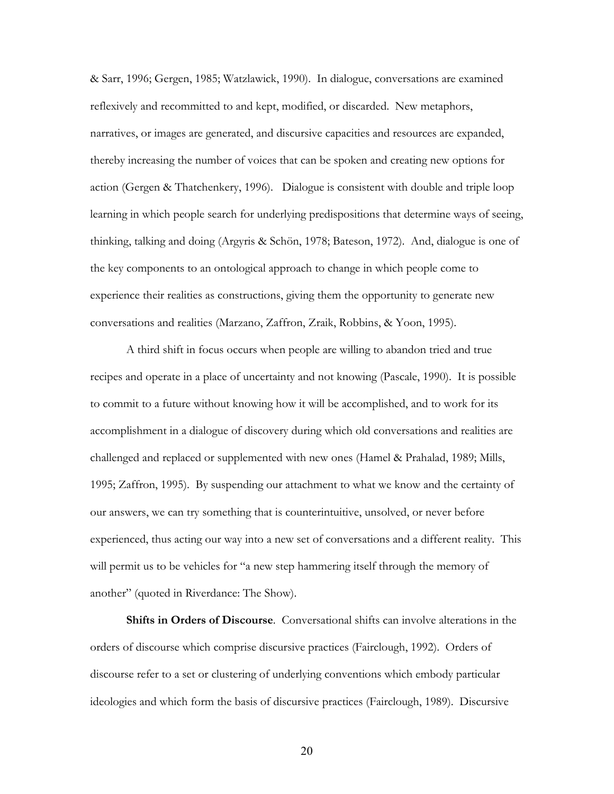& Sarr, 1996; Gergen, 1985; Watzlawick, 1990). In dialogue, conversations are examined reflexively and recommitted to and kept, modified, or discarded. New metaphors, narratives, or images are generated, and discursive capacities and resources are expanded, thereby increasing the number of voices that can be spoken and creating new options for action (Gergen & Thatchenkery, 1996). Dialogue is consistent with double and triple loop learning in which people search for underlying predispositions that determine ways of seeing, thinking, talking and doing (Argyris & Schön, 1978; Bateson, 1972). And, dialogue is one of the key components to an ontological approach to change in which people come to experience their realities as constructions, giving them the opportunity to generate new conversations and realities (Marzano, Zaffron, Zraik, Robbins, & Yoon, 1995).

A third shift in focus occurs when people are willing to abandon tried and true recipes and operate in a place of uncertainty and not knowing (Pascale, 1990). It is possible to commit to a future without knowing how it will be accomplished, and to work for its accomplishment in a dialogue of discovery during which old conversations and realities are challenged and replaced or supplemented with new ones (Hamel & Prahalad, 1989; Mills, 1995; Zaffron, 1995). By suspending our attachment to what we know and the certainty of our answers, we can try something that is counterintuitive, unsolved, or never before experienced, thus acting our way into a new set of conversations and a different reality. This will permit us to be vehicles for "a new step hammering itself through the memory of another" (quoted in Riverdance: The Show).

**Shifts in Orders of Discourse**. Conversational shifts can involve alterations in the orders of discourse which comprise discursive practices (Fairclough, 1992). Orders of discourse refer to a set or clustering of underlying conventions which embody particular ideologies and which form the basis of discursive practices (Fairclough, 1989). Discursive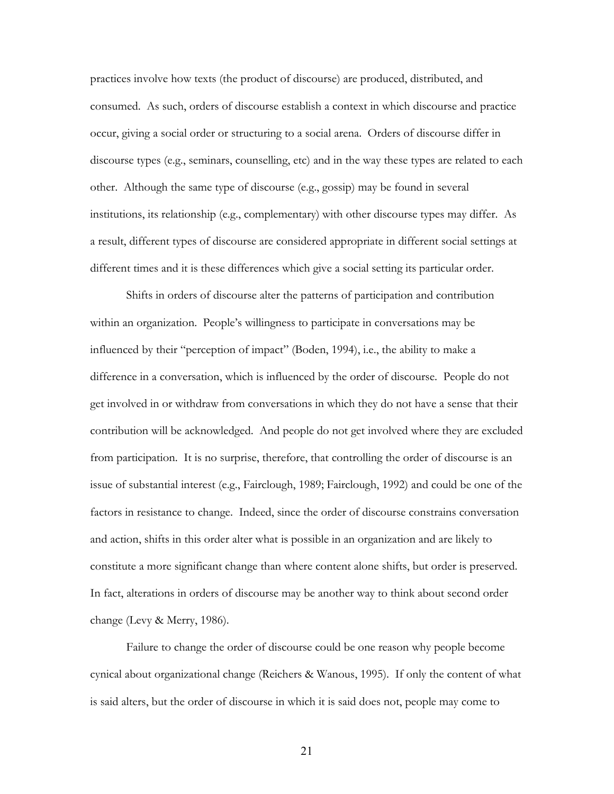practices involve how texts (the product of discourse) are produced, distributed, and consumed. As such, orders of discourse establish a context in which discourse and practice occur, giving a social order or structuring to a social arena. Orders of discourse differ in discourse types (e.g., seminars, counselling, etc) and in the way these types are related to each other. Although the same type of discourse (e.g., gossip) may be found in several institutions, its relationship (e.g., complementary) with other discourse types may differ. As a result, different types of discourse are considered appropriate in different social settings at different times and it is these differences which give a social setting its particular order.

Shifts in orders of discourse alter the patterns of participation and contribution within an organization. People's willingness to participate in conversations may be influenced by their "perception of impact" (Boden, 1994), i.e., the ability to make a difference in a conversation, which is influenced by the order of discourse. People do not get involved in or withdraw from conversations in which they do not have a sense that their contribution will be acknowledged. And people do not get involved where they are excluded from participation. It is no surprise, therefore, that controlling the order of discourse is an issue of substantial interest (e.g., Fairclough, 1989; Fairclough, 1992) and could be one of the factors in resistance to change. Indeed, since the order of discourse constrains conversation and action, shifts in this order alter what is possible in an organization and are likely to constitute a more significant change than where content alone shifts, but order is preserved. In fact, alterations in orders of discourse may be another way to think about second order change (Levy & Merry, 1986).

 Failure to change the order of discourse could be one reason why people become cynical about organizational change (Reichers & Wanous, 1995). If only the content of what is said alters, but the order of discourse in which it is said does not, people may come to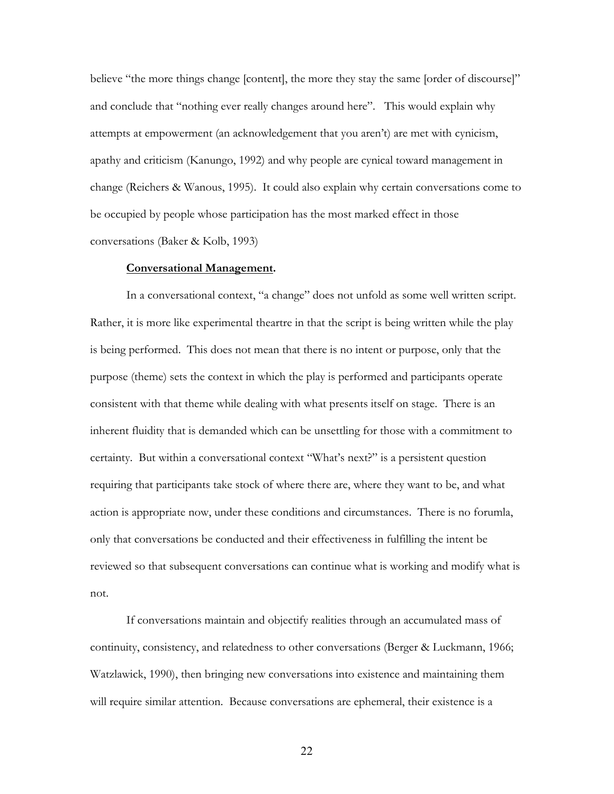believe "the more things change [content], the more they stay the same [order of discourse]" and conclude that "nothing ever really changes around here". This would explain why attempts at empowerment (an acknowledgement that you aren't) are met with cynicism, apathy and criticism (Kanungo, 1992) and why people are cynical toward management in change (Reichers & Wanous, 1995). It could also explain why certain conversations come to be occupied by people whose participation has the most marked effect in those conversations (Baker & Kolb, 1993)

#### **Conversational Management.**

 In a conversational context, "a change" does not unfold as some well written script. Rather, it is more like experimental theartre in that the script is being written while the play is being performed. This does not mean that there is no intent or purpose, only that the purpose (theme) sets the context in which the play is performed and participants operate consistent with that theme while dealing with what presents itself on stage. There is an inherent fluidity that is demanded which can be unsettling for those with a commitment to certainty. But within a conversational context "What's next?" is a persistent question requiring that participants take stock of where there are, where they want to be, and what action is appropriate now, under these conditions and circumstances. There is no forumla, only that conversations be conducted and their effectiveness in fulfilling the intent be reviewed so that subsequent conversations can continue what is working and modify what is not.

If conversations maintain and objectify realities through an accumulated mass of continuity, consistency, and relatedness to other conversations (Berger & Luckmann, 1966; Watzlawick, 1990), then bringing new conversations into existence and maintaining them will require similar attention. Because conversations are ephemeral, their existence is a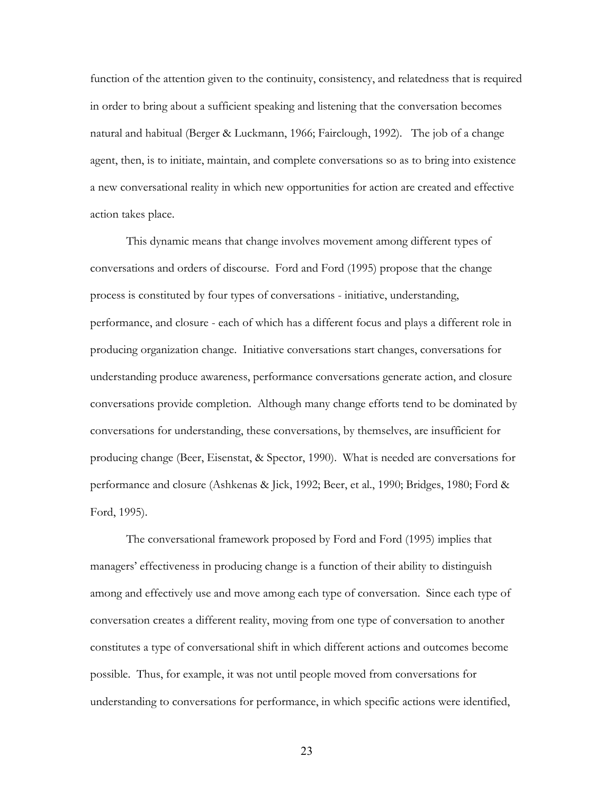function of the attention given to the continuity, consistency, and relatedness that is required in order to bring about a sufficient speaking and listening that the conversation becomes natural and habitual (Berger & Luckmann, 1966; Fairclough, 1992). The job of a change agent, then, is to initiate, maintain, and complete conversations so as to bring into existence a new conversational reality in which new opportunities for action are created and effective action takes place.

This dynamic means that change involves movement among different types of conversations and orders of discourse. Ford and Ford (1995) propose that the change process is constituted by four types of conversations - initiative, understanding, performance, and closure - each of which has a different focus and plays a different role in producing organization change. Initiative conversations start changes, conversations for understanding produce awareness, performance conversations generate action, and closure conversations provide completion. Although many change efforts tend to be dominated by conversations for understanding, these conversations, by themselves, are insufficient for producing change (Beer, Eisenstat, & Spector, 1990). What is needed are conversations for performance and closure (Ashkenas & Jick, 1992; Beer, et al., 1990; Bridges, 1980; Ford & Ford, 1995).

 The conversational framework proposed by Ford and Ford (1995) implies that managers' effectiveness in producing change is a function of their ability to distinguish among and effectively use and move among each type of conversation.Since each type of conversation creates a different reality, moving from one type of conversation to another constitutes a type of conversational shift in which different actions and outcomes become possible. Thus, for example, it was not until people moved from conversations for understanding to conversations for performance, in which specific actions were identified,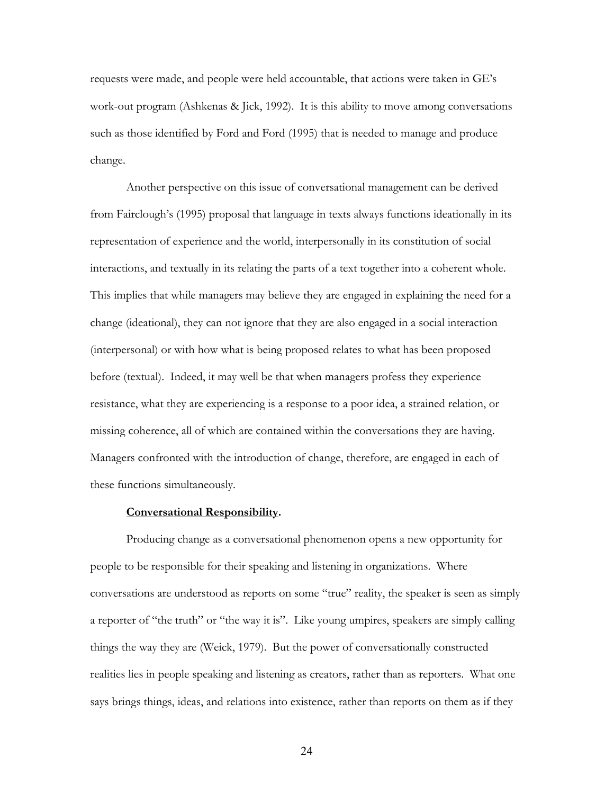requests were made, and people were held accountable, that actions were taken in GE's work-out program (Ashkenas & Jick, 1992). It is this ability to move among conversations such as those identified by Ford and Ford (1995) that is needed to manage and produce change.

 Another perspective on this issue of conversational management can be derived from Fairclough's (1995) proposal that language in texts always functions ideationally in its representation of experience and the world, interpersonally in its constitution of social interactions, and textually in its relating the parts of a text together into a coherent whole. This implies that while managers may believe they are engaged in explaining the need for a change (ideational), they can not ignore that they are also engaged in a social interaction (interpersonal) or with how what is being proposed relates to what has been proposed before (textual). Indeed, it may well be that when managers profess they experience resistance, what they are experiencing is a response to a poor idea, a strained relation, or missing coherence, all of which are contained within the conversations they are having. Managers confronted with the introduction of change, therefore, are engaged in each of these functions simultaneously.

### **Conversational Responsibility.**

Producing change as a conversational phenomenon opens a new opportunity for people to be responsible for their speaking and listening in organizations. Where conversations are understood as reports on some "true" reality, the speaker is seen as simply a reporter of "the truth" or "the way it is". Like young umpires, speakers are simply calling things the way they are (Weick, 1979). But the power of conversationally constructed realities lies in people speaking and listening as creators, rather than as reporters. What one says brings things, ideas, and relations into existence, rather than reports on them as if they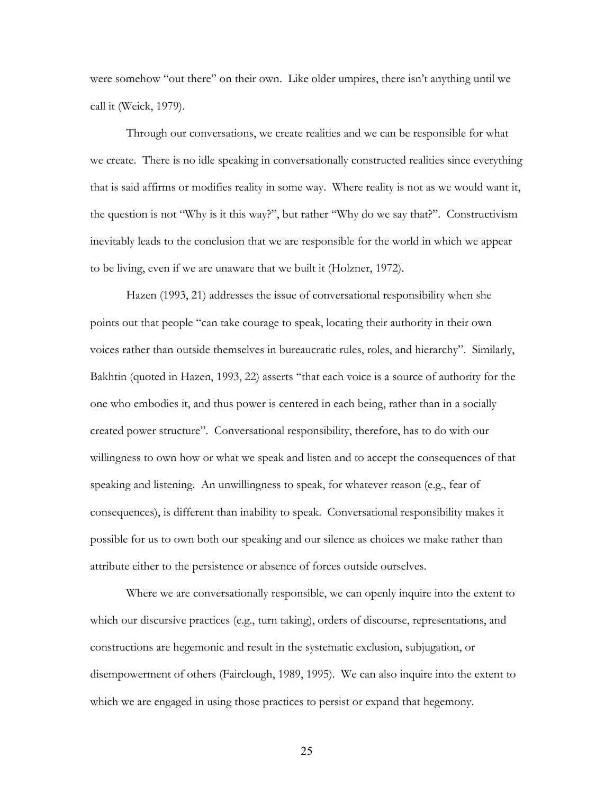were somehow "out there" on their own. Like older umpires, there isn't anything until we call it (Weick, 1979).

 Through our conversations, we create realities and we can be responsible for what we create. There is no idle speaking in conversationally constructed realities since everything that is said affirms or modifies reality in some way. Where reality is not as we would want it, the question is not "Why is it this way?", but rather "Why do we say that?". Constructivism inevitably leads to the conclusion that we are responsible for the world in which we appear to be living, even if we are unaware that we built it (Holzner, 1972).

Hazen (1993, 21) addresses the issue of conversational responsibility when she points out that people "can take courage to speak, locating their authority in their own voices rather than outside themselves in bureaucratic rules, roles, and hierarchy". Similarly, Bakhtin (quoted in Hazen, 1993, 22) asserts "that each voice is a source of authority for the one who embodies it, and thus power is centered in each being, rather than in a socially created power structure". Conversational responsibility, therefore, has to do with our willingness to own how or what we speak and listen and to accept the consequences of that speaking and listening. An unwillingness to speak, for whatever reason (e.g., fear of consequences), is different than inability to speak. Conversational responsibility makes it possible for us to own both our speaking and our silence as choices we make rather than attribute either to the persistence or absence of forces outside ourselves.

Where we are conversationally responsible, we can openly inquire into the extent to which our discursive practices (e.g., turn taking), orders of discourse, representations, and constructions are hegemonic and result in the systematic exclusion, subjugation, or disempowerment of others (Fairclough, 1989, 1995). We can also inquire into the extent to which we are engaged in using those practices to persist or expand that hegemony.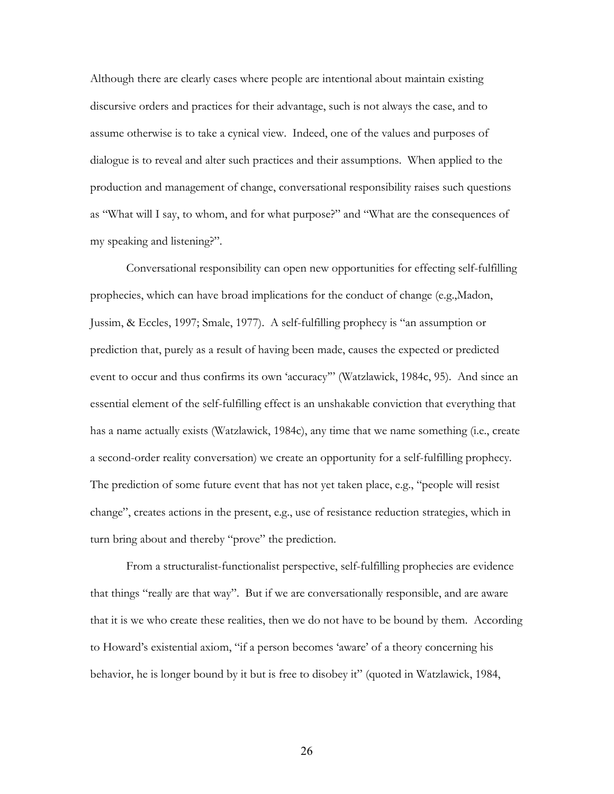Although there are clearly cases where people are intentional about maintain existing discursive orders and practices for their advantage, such is not always the case, and to assume otherwise is to take a cynical view. Indeed, one of the values and purposes of dialogue is to reveal and alter such practices and their assumptions. When applied to the production and management of change, conversational responsibility raises such questions as "What will I say, to whom, and for what purpose?" and "What are the consequences of my speaking and listening?".

 Conversational responsibility can open new opportunities for effecting self-fulfilling prophecies, which can have broad implications for the conduct of change (e.g.,Madon, Jussim, & Eccles, 1997; Smale, 1977). A self-fulfilling prophecy is "an assumption or prediction that, purely as a result of having been made, causes the expected or predicted event to occur and thus confirms its own 'accuracy'" (Watzlawick, 1984c, 95). And since an essential element of the self-fulfilling effect is an unshakable conviction that everything that has a name actually exists (Watzlawick, 1984c), any time that we name something (i.e., create a second-order reality conversation) we create an opportunity for a self-fulfilling prophecy. The prediction of some future event that has not yet taken place, e.g., "people will resist change", creates actions in the present, e.g., use of resistance reduction strategies, which in turn bring about and thereby "prove" the prediction.

From a structuralist-functionalist perspective, self-fulfilling prophecies are evidence that things "really are that way". But if we are conversationally responsible, and are aware that it is we who create these realities, then we do not have to be bound by them. According to Howard's existential axiom, "if a person becomes 'aware' of a theory concerning his behavior, he is longer bound by it but is free to disobey it" (quoted in Watzlawick, 1984,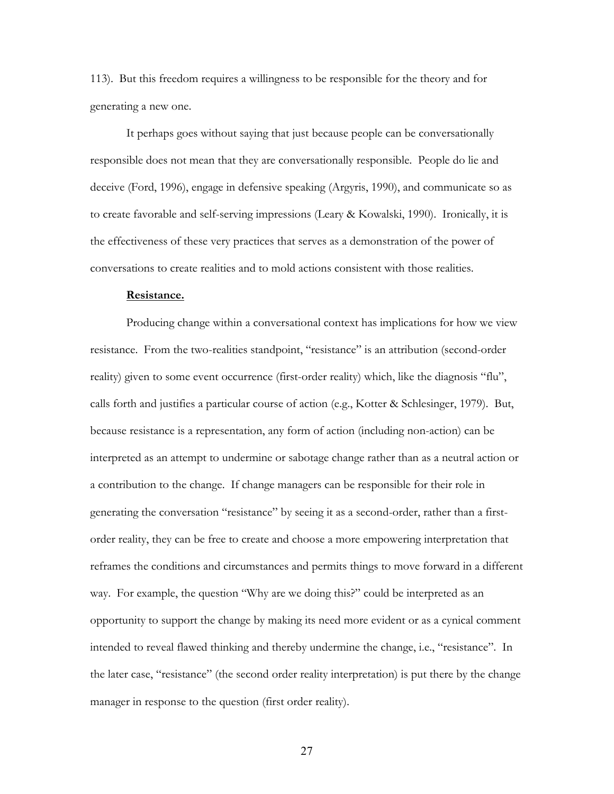113). But this freedom requires a willingness to be responsible for the theory and for generating a new one.

 It perhaps goes without saying that just because people can be conversationally responsible does not mean that they are conversationally responsible. People do lie and deceive (Ford, 1996), engage in defensive speaking (Argyris, 1990), and communicate so as to create favorable and self-serving impressions (Leary & Kowalski, 1990). Ironically, it is the effectiveness of these very practices that serves as a demonstration of the power of conversations to create realities and to mold actions consistent with those realities.

#### **Resistance.**

Producing change within a conversational context has implications for how we view resistance. From the two-realities standpoint, "resistance" is an attribution (second-order reality) given to some event occurrence (first-order reality) which, like the diagnosis "flu", calls forth and justifies a particular course of action (e.g., Kotter & Schlesinger, 1979). But, because resistance is a representation, any form of action (including non-action) can be interpreted as an attempt to undermine or sabotage change rather than as a neutral action or a contribution to the change. If change managers can be responsible for their role in generating the conversation "resistance" by seeing it as a second-order, rather than a firstorder reality, they can be free to create and choose a more empowering interpretation that reframes the conditions and circumstances and permits things to move forward in a different way. For example, the question "Why are we doing this?" could be interpreted as an opportunity to support the change by making its need more evident or as a cynical comment intended to reveal flawed thinking and thereby undermine the change, i.e., "resistance". In the later case, "resistance" (the second order reality interpretation) is put there by the change manager in response to the question (first order reality).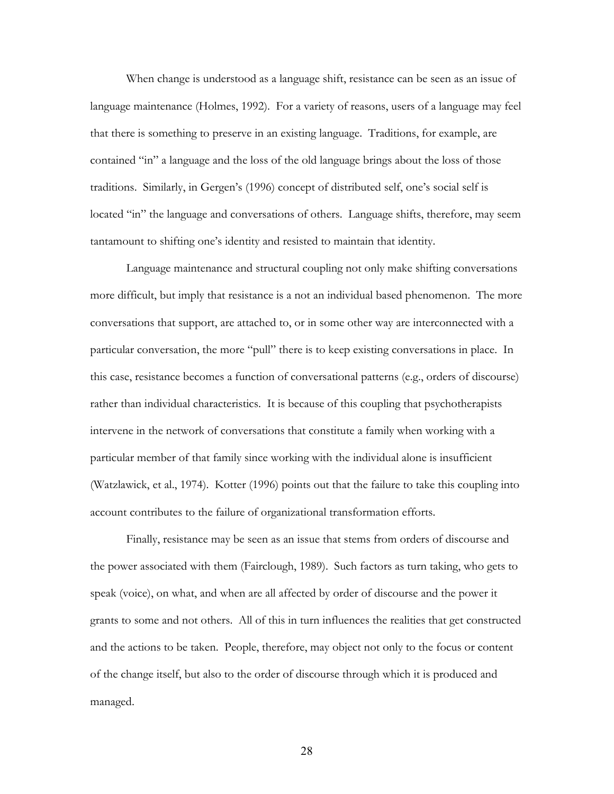When change is understood as a language shift, resistance can be seen as an issue of language maintenance (Holmes, 1992). For a variety of reasons, users of a language may feel that there is something to preserve in an existing language. Traditions, for example, are contained "in" a language and the loss of the old language brings about the loss of those traditions. Similarly, in Gergen's (1996) concept of distributed self, one's social self is located "in" the language and conversations of others. Language shifts, therefore, may seem tantamount to shifting one's identity and resisted to maintain that identity.

Language maintenance and structural coupling not only make shifting conversations more difficult, but imply that resistance is a not an individual based phenomenon. The more conversations that support, are attached to, or in some other way are interconnected with a particular conversation, the more "pull" there is to keep existing conversations in place. In this case, resistance becomes a function of conversational patterns (e.g., orders of discourse) rather than individual characteristics. It is because of this coupling that psychotherapists intervene in the network of conversations that constitute a family when working with a particular member of that family since working with the individual alone is insufficient (Watzlawick, et al., 1974). Kotter (1996) points out that the failure to take this coupling into account contributes to the failure of organizational transformation efforts.

Finally, resistance may be seen as an issue that stems from orders of discourse and the power associated with them (Fairclough, 1989). Such factors as turn taking, who gets to speak (voice), on what, and when are all affected by order of discourse and the power it grants to some and not others. All of this in turn influences the realities that get constructed and the actions to be taken. People, therefore, may object not only to the focus or content of the change itself, but also to the order of discourse through which it is produced and managed.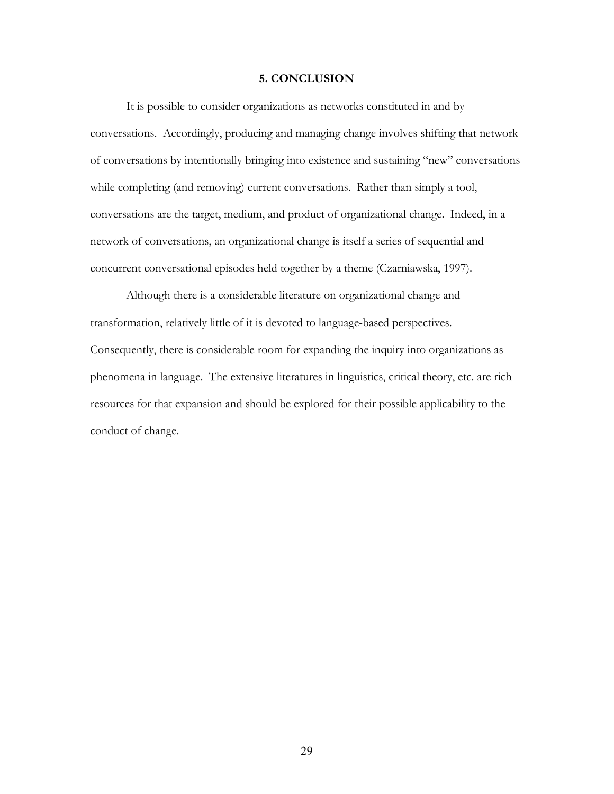## **5. CONCLUSION**

 It is possible to consider organizations as networks constituted in and by conversations. Accordingly, producing and managing change involves shifting that network of conversations by intentionally bringing into existence and sustaining "new" conversations while completing (and removing) current conversations. Rather than simply a tool, conversations are the target, medium, and product of organizational change. Indeed, in a network of conversations, an organizational change is itself a series of sequential and concurrent conversational episodes held together by a theme (Czarniawska, 1997).

 Although there is a considerable literature on organizational change and transformation, relatively little of it is devoted to language-based perspectives. Consequently, there is considerable room for expanding the inquiry into organizations as phenomena in language. The extensive literatures in linguistics, critical theory, etc. are rich resources for that expansion and should be explored for their possible applicability to the conduct of change.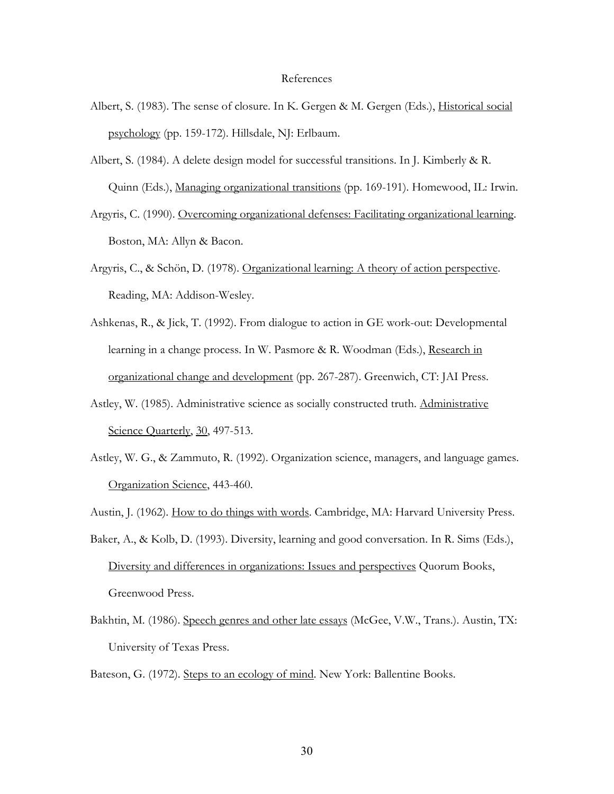#### References

- Albert, S. (1983). The sense of closure. In K. Gergen & M. Gergen (Eds.), *Historical social* psychology (pp. 159-172). Hillsdale, NJ: Erlbaum.
- Albert, S. (1984). A delete design model for successful transitions. In J. Kimberly & R. Quinn (Eds.), Managing organizational transitions (pp. 169-191). Homewood, IL: Irwin.
- Argyris, C. (1990). Overcoming organizational defenses: Facilitating organizational learning. Boston, MA: Allyn & Bacon.
- Argyris, C., & Schön, D. (1978). Organizational learning: A theory of action perspective. Reading, MA: Addison-Wesley.
- Ashkenas, R., & Jick, T. (1992). From dialogue to action in GE work-out: Developmental learning in a change process. In W. Pasmore & R. Woodman (Eds.), Research in organizational change and development (pp. 267-287). Greenwich, CT: JAI Press.
- Astley, W. (1985). Administrative science as socially constructed truth. Administrative Science Quarterly, 30, 497-513.
- Astley, W. G., & Zammuto, R. (1992). Organization science, managers, and language games. Organization Science, 443-460.

Austin, J. (1962). How to do things with words. Cambridge, MA: Harvard University Press.

- Baker, A., & Kolb, D. (1993). Diversity, learning and good conversation. In R. Sims (Eds.), Diversity and differences in organizations: Issues and perspectives Quorum Books, Greenwood Press.
- Bakhtin, M. (1986). Speech genres and other late essays (McGee, V.W., Trans.). Austin, TX: University of Texas Press.

Bateson, G. (1972). Steps to an ecology of mind. New York: Ballentine Books.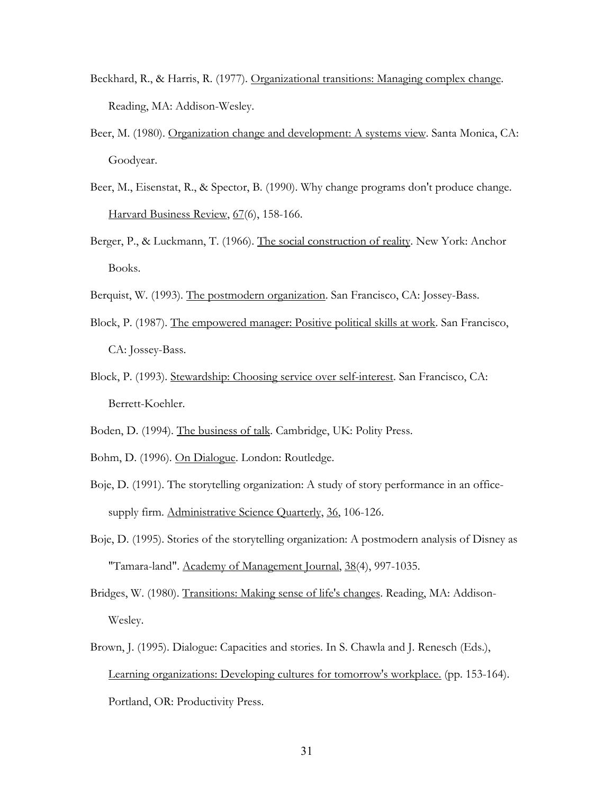- Beckhard, R., & Harris, R. (1977). Organizational transitions: Managing complex change. Reading, MA: Addison-Wesley.
- Beer, M. (1980). Organization change and development: A systems view. Santa Monica, CA: Goodyear.
- Beer, M., Eisenstat, R., & Spector, B. (1990). Why change programs don't produce change. Harvard Business Review, 67(6), 158-166.
- Berger, P., & Luckmann, T. (1966). The social construction of reality. New York: Anchor Books.
- Berquist, W. (1993). The postmodern organization. San Francisco, CA: Jossey-Bass.
- Block, P. (1987). The empowered manager: Positive political skills at work. San Francisco, CA: Jossey-Bass.
- Block, P. (1993). Stewardship: Choosing service over self-interest. San Francisco, CA: Berrett-Koehler.
- Boden, D. (1994). The business of talk. Cambridge, UK: Polity Press.
- Bohm, D. (1996). On Dialogue. London: Routledge.
- Boje, D. (1991). The storytelling organization: A study of story performance in an officesupply firm. Administrative Science Quarterly, 36, 106-126.
- Boje, D. (1995). Stories of the storytelling organization: A postmodern analysis of Disney as "Tamara-land". Academy of Management Journal, 38(4), 997-1035.
- Bridges, W. (1980). Transitions: Making sense of life's changes. Reading, MA: Addison-Wesley.
- Brown, J. (1995). Dialogue: Capacities and stories. In S. Chawla and J. Renesch (Eds.), Learning organizations: Developing cultures for tomorrow's workplace. (pp. 153-164). Portland, OR: Productivity Press.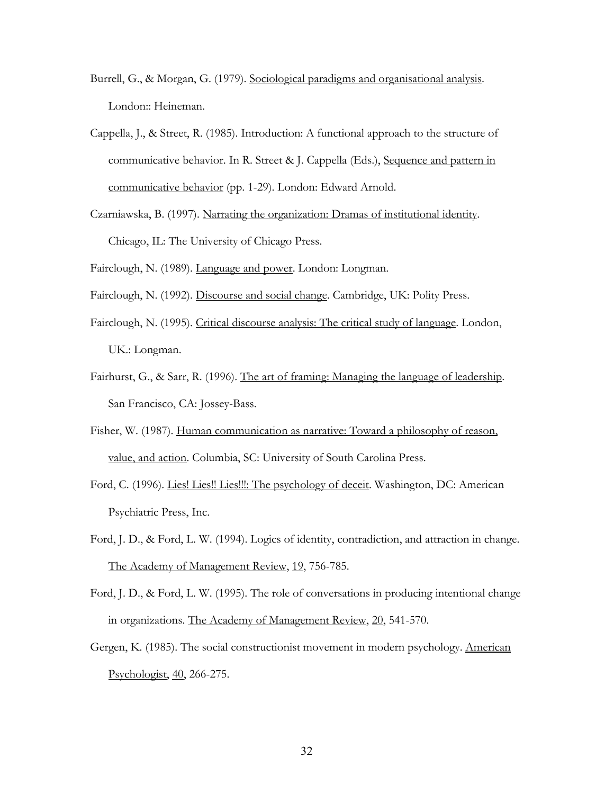- Burrell, G., & Morgan, G. (1979). Sociological paradigms and organisational analysis. London:: Heineman.
- Cappella, J., & Street, R. (1985). Introduction: A functional approach to the structure of communicative behavior. In R. Street & J. Cappella (Eds.), Sequence and pattern in communicative behavior (pp. 1-29). London: Edward Arnold.
- Czarniawska, B. (1997). Narrating the organization: Dramas of institutional identity. Chicago, IL: The University of Chicago Press.
- Fairclough, N. (1989). Language and power. London: Longman.
- Fairclough, N. (1992). Discourse and social change. Cambridge, UK: Polity Press.
- Fairclough, N. (1995). Critical discourse analysis: The critical study of language. London, UK.: Longman.
- Fairhurst, G., & Sarr, R. (1996). The art of framing: Managing the language of leadership. San Francisco, CA: Jossey-Bass.
- Fisher, W. (1987). Human communication as narrative: Toward a philosophy of reason, value, and action. Columbia, SC: University of South Carolina Press.
- Ford, C. (1996). Lies! Lies!! Lies!!!: The psychology of deceit. Washington, DC: American Psychiatric Press, Inc.
- Ford, J. D., & Ford, L. W. (1994). Logics of identity, contradiction, and attraction in change. The Academy of Management Review, 19, 756-785.
- Ford, J. D., & Ford, L. W. (1995). The role of conversations in producing intentional change in organizations. The Academy of Management Review, 20, 541-570.
- Gergen, K. (1985). The social constructionist movement in modern psychology. American Psychologist, 40, 266-275.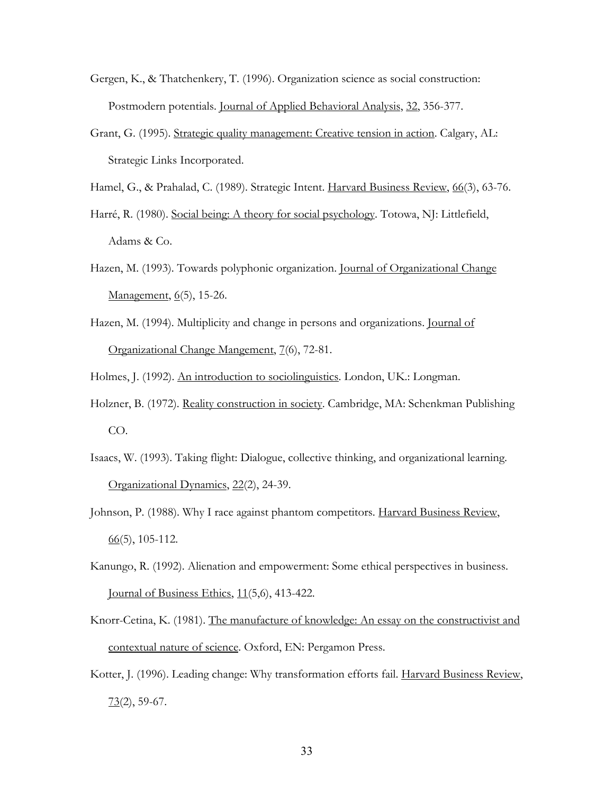- Gergen, K., & Thatchenkery, T. (1996). Organization science as social construction: Postmodern potentials. Journal of Applied Behavioral Analysis, 32, 356-377.
- Grant, G. (1995). Strategic quality management: Creative tension in action. Calgary, AL: Strategic Links Incorporated.

Hamel, G., & Prahalad, C. (1989). Strategic Intent. Harvard Business Review, 66(3), 63-76.

Harré, R. (1980). Social being: A theory for social psychology. Totowa, NJ: Littlefield, Adams & Co.

- Hazen, M. (1993). Towards polyphonic organization. Journal of Organizational Change Management, 6(5), 15-26.
- Hazen, M. (1994). Multiplicity and change in persons and organizations. Journal of Organizational Change Mangement, 7(6), 72-81.

Holmes, J. (1992). An introduction to sociolinguistics. London, UK.: Longman.

- Holzner, B. (1972). Reality construction in society. Cambridge, MA: Schenkman Publishing CO.
- Isaacs, W. (1993). Taking flight: Dialogue, collective thinking, and organizational learning. Organizational Dynamics, 22(2), 24-39.
- Johnson, P. (1988). Why I race against phantom competitors. Harvard Business Review,  $66(5)$ , 105-112.
- Kanungo, R. (1992). Alienation and empowerment: Some ethical perspectives in business. Journal of Business Ethics, 11(5,6), 413-422.
- Knorr-Cetina, K. (1981). The manufacture of knowledge: An essay on the constructivist and contextual nature of science. Oxford, EN: Pergamon Press.
- Kotter, J. (1996). Leading change: Why transformation efforts fail. Harvard Business Review,  $73(2)$ , 59-67.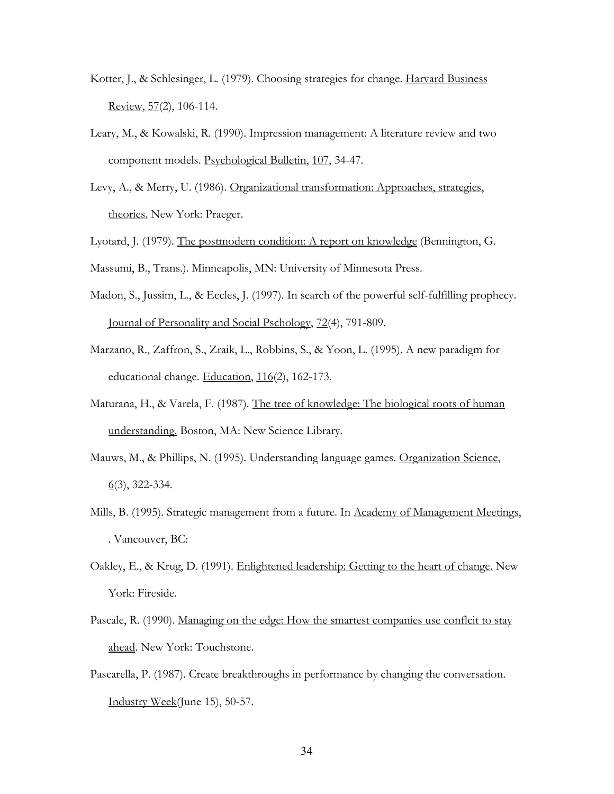- Kotter, J., & Schlesinger, L. (1979). Choosing strategies for change. Harvard Business Review, 57(2), 106-114.
- Leary, M., & Kowalski, R. (1990). Impression management: A literature review and two component models. Psychological Bulletin, 107, 34-47.
- Levy, A., & Merry, U. (1986). Organizational transformation: Approaches, strategies, theories. New York: Praeger.
- Lyotard, J. (1979). The postmodern condition: A report on knowledge (Bennington, G.
- Massumi, B., Trans.). Minneapolis, MN: University of Minnesota Press.
- Madon, S., Jussim, L., & Eccles, J. (1997). In search of the powerful self-fulfilling prophecy. Journal of Personality and Social Pschology, 72(4), 791-809.
- Marzano, R., Zaffron, S., Zraik, L., Robbins, S., & Yoon, L. (1995). A new paradigm for educational change. Education, 116(2), 162-173.
- Maturana, H., & Varela, F. (1987). The tree of knowledge: The biological roots of human understanding. Boston, MA: New Science Library.
- Mauws, M., & Phillips, N. (1995). Understanding language games. Organization Science,  $6(3)$ , 322-334.
- Mills, B. (1995). Strategic management from a future. In Academy of Management Meetings, . Vancouver, BC:
- Oakley, E., & Krug, D. (1991). Enlightened leadership: Getting to the heart of change. New York: Fireside.
- Pascale, R. (1990). Managing on the edge: How the smartest companies use conflcit to stay ahead. New York: Touchstone.
- Pascarella, P. (1987). Create breakthroughs in performance by changing the conversation. Industry Week(June 15), 50-57.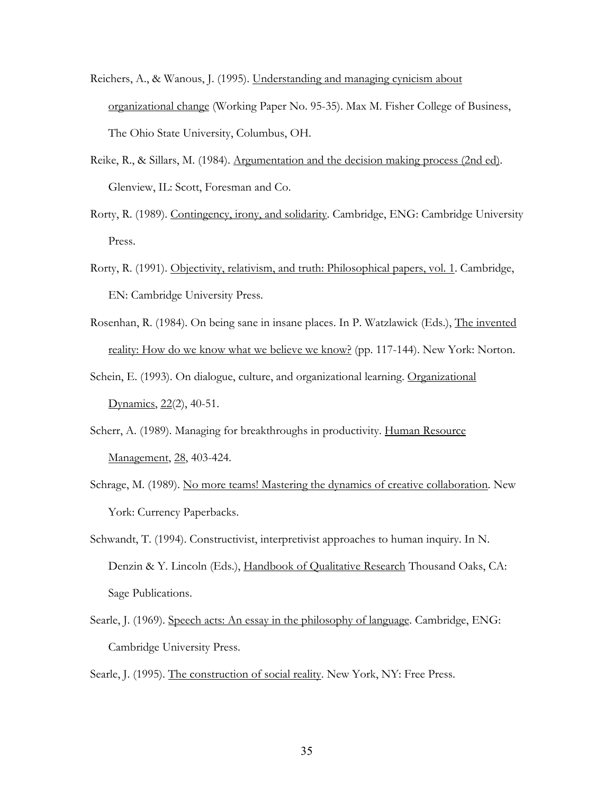- Reichers, A., & Wanous, J. (1995). Understanding and managing cynicism about organizational change (Working Paper No. 95-35). Max M. Fisher College of Business, The Ohio State University, Columbus, OH.
- Reike, R., & Sillars, M. (1984). Argumentation and the decision making process (2nd ed). Glenview, IL: Scott, Foresman and Co.
- Rorty, R. (1989). Contingency, irony, and solidarity. Cambridge, ENG: Cambridge University Press.
- Rorty, R. (1991). Objectivity, relativism, and truth: Philosophical papers, vol. 1. Cambridge, EN: Cambridge University Press.
- Rosenhan, R. (1984). On being sane in insane places. In P. Watzlawick (Eds.), The invented reality: How do we know what we believe we know? (pp. 117-144). New York: Norton.
- Schein, E. (1993). On dialogue, culture, and organizational learning. Organizational Dynamics, 22(2), 40-51.
- Scherr, A. (1989). Managing for breakthroughs in productivity. Human Resource Management, 28, 403-424.
- Schrage, M. (1989). No more teams! Mastering the dynamics of creative collaboration. New York: Currency Paperbacks.
- Schwandt, T. (1994). Constructivist, interpretivist approaches to human inquiry. In N. Denzin & Y. Lincoln (Eds.), Handbook of Qualitative Research Thousand Oaks, CA: Sage Publications.
- Searle, J. (1969). Speech acts: An essay in the philosophy of language. Cambridge, ENG: Cambridge University Press.

Searle, J. (1995). The construction of social reality. New York, NY: Free Press.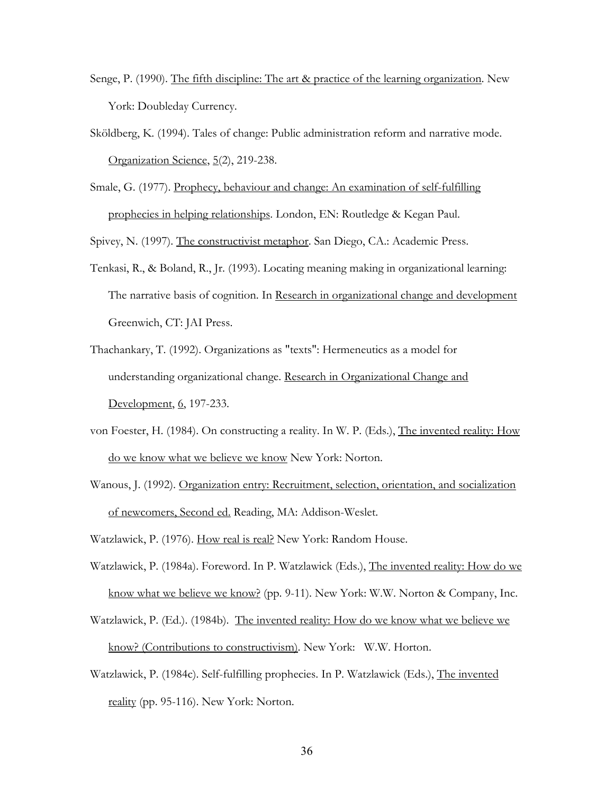- Senge, P. (1990). The fifth discipline: The art & practice of the learning organization. New York: Doubleday Currency.
- Sköldberg, K. (1994). Tales of change: Public administration reform and narrative mode. Organization Science, 5(2), 219-238.
- Smale, G. (1977). Prophecy, behaviour and change: An examination of self-fulfilling prophecies in helping relationships. London, EN: Routledge & Kegan Paul.

Spivey, N. (1997). The constructivist metaphor. San Diego, CA.: Academic Press.

- Tenkasi, R., & Boland, R., Jr. (1993). Locating meaning making in organizational learning: The narrative basis of cognition. In Research in organizational change and development Greenwich, CT: JAI Press.
- Thachankary, T. (1992). Organizations as "texts": Hermeneutics as a model for understanding organizational change. Research in Organizational Change and Development, 6, 197-233.
- von Foester, H. (1984). On constructing a reality. In W. P. (Eds.), The invented reality: How do we know what we believe we know New York: Norton.
- Wanous, J. (1992). Organization entry: Recruitment, selection, orientation, and socialization of newcomers, Second ed. Reading, MA: Addison-Weslet.
- Watzlawick, P. (1976). How real is real? New York: Random House.
- Watzlawick, P. (1984a). Foreword. In P. Watzlawick (Eds.), The invented reality: How do we know what we believe we know? (pp. 9-11). New York: W.W. Norton & Company, Inc.
- Watzlawick, P. (Ed.). (1984b). The invented reality: How do we know what we believe we know? (Contributions to constructivism). New York: W.W. Horton.
- Watzlawick, P. (1984c). Self-fulfilling prophecies. In P. Watzlawick (Eds.), The invented reality (pp. 95-116). New York: Norton.